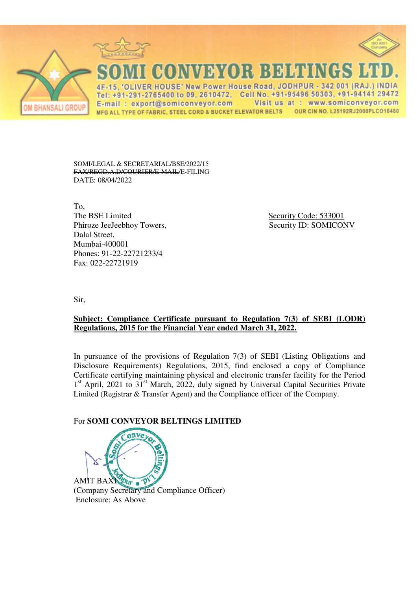

SOMI/LEGAL & SECRETARIAL/BSE/2022/15 **FAX/REGD A D/COURIER/E MAIL/E-FILING** DATE: 08/04/2022

To. The BSE Limited Phiroze JeeJeebhoy Towers, Dalal Street. Mumbai-400001 Phones: 91-22-22721233/4 Fax: 022-22721919

Security Code: 533001 **Security ID: SOMICONV** 

Sir,

## Subject: Compliance Certificate pursuant to Regulation 7(3) of SEBI (LODR) Regulations, 2015 for the Financial Year ended March 31, 2022.

In pursuance of the provisions of Regulation  $7(3)$  of SEBI (Listing Obligations and Disclosure Requirements) Regulations, 2015, find enclosed a copy of Compliance Certificate certifying maintaining physical and electronic transfer facility for the Period 1<sup>st</sup> April, 2021 to 31<sup>st</sup> March, 2022, duly signed by Universal Capital Securities Private Limited (Registrar & Transfer Agent) and the Compliance officer of the Company.

## For SOMI CONVEYOR BELTINGS LIMITED